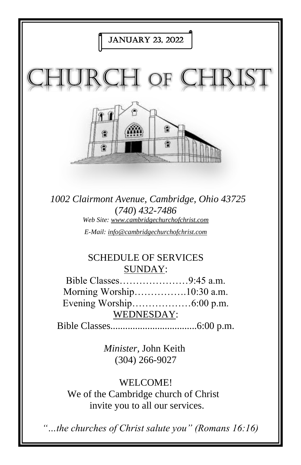

We of the Cambridge church of Christ invite you to all our services.

*"…the churches of Christ salute you" (Romans 16:16)*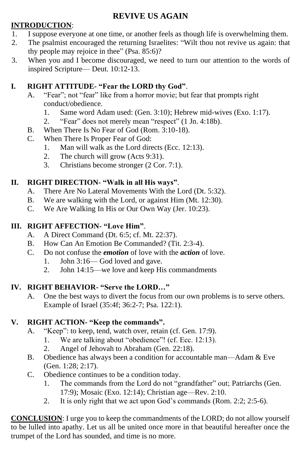## **REVIVE US AGAIN**

#### **INTRODUCTION**:

- 1. I suppose everyone at one time, or another feels as though life is overwhelming them.
- 2. The psalmist encouraged the returning Israelites: "Wilt thou not revive us again: that thy people may rejoice in thee" (Psa. 85:6)?
- 3. When you and I become discouraged, we need to turn our attention to the words of inspired Scripture— Deut. 10:12-13.

### **I. RIGHT ATTITUDE- "Fear the LORD thy God"**.

- A. "Fear"; not "fear" like from a horror movie; but fear that prompts right conduct/obedience.
	- 1. Same word Adam used: (Gen. 3:10); Hebrew mid-wives (Exo. 1:17).
	- 2. "Fear" does not merely mean "respect" (1 Jn. 4:18b).
- B. When There Is No Fear of God (Rom. 3:10-18).
- C. When There Is Proper Fear of God:
	- 1. Man will walk as the Lord directs (Ecc. 12:13).
	- 2. The church will grow (Acts 9:31).
	- 3. Christians become stronger (2 Cor. 7:1).

#### **II. RIGHT DIRECTION- "Walk in all His ways"**.

- A. There Are No Lateral Movements With the Lord (Dt. 5:32).
- B. We are walking with the Lord, or against Him (Mt. 12:30).
- C. We Are Walking In His or Our Own Way (Jer. 10:23).

#### **III. RIGHT AFFECTION- "Love Him"**.

- A. A Direct Command (Dt. 6:5; cf. Mt. 22:37).
- B. How Can An Emotion Be Commanded? (Tit. 2:3-4).
- C. Do not confuse the *emotion* of love with the *action* of love.
	- 1. John 3:16— God loved and gave.
	- 2. John 14:15—we love and keep His commandments

#### **IV. RIGHT BEHAVIOR- "Serve the LORD…"**

A. One the best ways to divert the focus from our own problems is to serve others. Example of Israel (35:4f; 36:2-7; Psa. 122:1).

#### **V. RIGHT ACTION- "Keep the commands".**

- A. "Keep": to keep, tend, watch over, retain (cf. Gen. 17:9).
	- 1. We are talking about "obedience"! (cf. Ecc. 12:13).
	- 2. Angel of Jehovah to Abraham (Gen. 22:18).
- B. Obedience has always been a condition for accountable man—Adam & Eve (Gen. 1:28; 2:17).
- C. Obedience continues to be a condition today.
	- 1. The commands from the Lord do not "grandfather" out; Patriarchs (Gen. 17:9); Mosaic (Exo. 12:14); Christian age—Rev. 2:10.
	- 2. It is only right that we act upon God's commands (Rom. 2:2; 2:5-6).

**CONCLUSION**: I urge you to keep the commandments of the LORD; do not allow yourself to be lulled into apathy. Let us all be united once more in that beautiful hereafter once the trumpet of the Lord has sounded, and time is no more.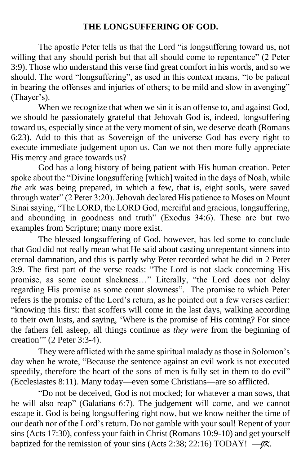## **THE LONGSUFFERING OF GOD.**

The apostle Peter tells us that the Lord "is longsuffering toward us, not willing that any should perish but that all should come to repentance" (2 Peter 3:9). Those who understand this verse find great comfort in his words, and so we should. The word "longsuffering", as used in this context means, "to be patient in bearing the offenses and injuries of others; to be mild and slow in avenging" (Thayer's).

When we recognize that when we sin it is an offense to, and against God, we should be passionately grateful that Jehovah God is, indeed, longsuffering toward us, especially since at the very moment of sin, we deserve death (Romans 6:23). Add to this that as Sovereign of the universe God has every right to execute immediate judgement upon us. Can we not then more fully appreciate His mercy and grace towards us?

God has a long history of being patient with His human creation. Peter spoke about the "Divine longsuffering [which] waited in the days of Noah, while *the* ark was being prepared, in which a few, that is, eight souls, were saved through water" (2 Peter 3:20). Jehovah declared His patience to Moses on Mount Sinai saying, "The LORD, the LORD God, merciful and gracious, longsuffering, and abounding in goodness and truth" (Exodus 34:6). These are but two examples from Scripture; many more exist.

The blessed longsuffering of God, however, has led some to conclude that God did not really mean what He said about casting unrepentant sinners into eternal damnation, and this is partly why Peter recorded what he did in 2 Peter 3:9. The first part of the verse reads: "The Lord is not slack concerning His promise, as some count slackness…" Literally, "the Lord does not delay regarding His promise as some count slowness". The promise to which Peter refers is the promise of the Lord's return, as he pointed out a few verses earlier: "knowing this first: that scoffers will come in the last days, walking according to their own lusts, and saying, 'Where is the promise of His coming? For since the fathers fell asleep, all things continue as *they were* from the beginning of creation'" (2 Peter 3:3-4).

They were afflicted with the same spiritual malady as those in Solomon's day when he wrote, "Because the sentence against an evil work is not executed speedily, therefore the heart of the sons of men is fully set in them to do evil" (Ecclesiastes 8:11). Many today—even some Christians—are so afflicted.

"Do not be deceived, God is not mocked; for whatever a man sows, that he will also reap" (Galatians 6:7). The judgement will come, and we cannot escape it. God is being longsuffering right now, but we know neither the time of our death nor of the Lord's return. Do not gamble with your soul! Repent of your sins (Acts 17:30), confess your faith in Christ (Romans 10:9-10) and get yourself baptized for the remission of your sins (Acts 2:38; 22:16) TODAY! —*JK*.